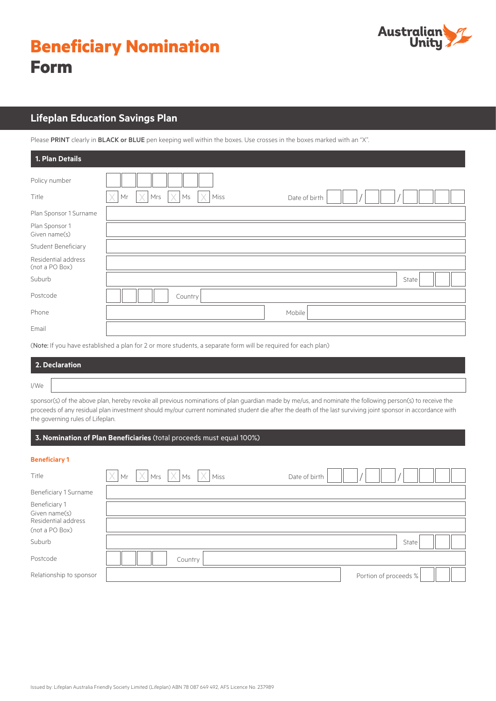# **Beneficiary Nomination Form**



# **Lifeplan Education Savings Plan**

Please PRINT clearly in BLACK or BLUE pen keeping well within the boxes. Use crosses in the boxes marked with an "X".

| 1. Plan Details                       |                                                      |
|---------------------------------------|------------------------------------------------------|
| Policy number                         |                                                      |
| Title                                 | $\times$<br>Mrs<br>Ms<br>Miss<br>Mr<br>Date of birth |
| Plan Sponsor 1 Surname                |                                                      |
| Plan Sponsor 1<br>Given name(s)       |                                                      |
| Student Beneficiary                   |                                                      |
| Residential address<br>(not a PO Box) |                                                      |
| Suburb                                | State                                                |
| Postcode                              | Country                                              |
| Phone                                 | Mobile                                               |
| Email                                 |                                                      |
|                                       |                                                      |

(Note: If you have established a plan for 2 or more students, a separate form will be required for each plan)

|      | 2. Declaration |
|------|----------------|
| I/We |                |

sponsor(s) of the above plan, hereby revoke all previous nominations of plan guardian made by me/us, and nominate the following person(s) to receive the proceeds of any residual plan investment should my/our current nominated student die after the death of the last surviving joint sponsor in accordance with the governing rules of Lifeplan.

# **3. Nomination of Plan Beneficiaries** (total proceeds must equal 100%)

### **Beneficiary 1**

| Title                                 |  |         | $\overline{X}$ Mr $\overline{X}$ Mrs $\overline{X}$ Ms $\overline{X}$ Miss | Date of birth |  |                       |  |  |
|---------------------------------------|--|---------|----------------------------------------------------------------------------|---------------|--|-----------------------|--|--|
| Beneficiary 1 Surname                 |  |         |                                                                            |               |  |                       |  |  |
| Beneficiary 1<br>Given name(s)        |  |         |                                                                            |               |  |                       |  |  |
| Residential address<br>(not a PO Box) |  |         |                                                                            |               |  |                       |  |  |
| Suburb                                |  |         |                                                                            |               |  | State                 |  |  |
| Postcode                              |  | Country |                                                                            |               |  |                       |  |  |
| Relationship to sponsor               |  |         |                                                                            |               |  | Portion of proceeds % |  |  |